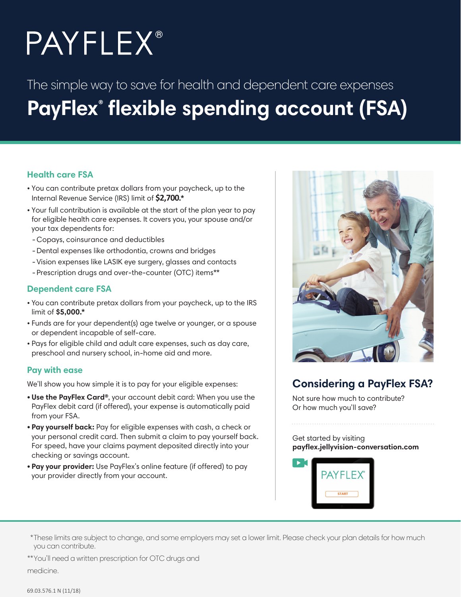# **PAYFLEX®**

# The simple way to save for health and dependent care expenses **PayFlex® flexible spending account (FSA)**

## **Health care FSA**

- You can contribute pretax dollars from your paycheck, up to the Internal Revenue Service (IRS) limit of **\$2,700.\***
- Your full contribution is available at the start of the plan year to pay for eligible health care expenses. It covers you, your spouse and/or your tax dependents for:
- -Copays, coinsurance and deductibles
- -Dental expenses like orthodontia, crowns and bridges
- Vision expenses like LASIK eye surgery, glasses and contacts
- Prescription drugs and over-the-counter (OTC) items\*\*

### **Dependent care FSA**

- You can contribute pretax dollars from your paycheck, up to the IRS limit of **\$5,000.\***
- Funds are for your dependent(s) age twelve or younger, or a spouse or dependent incapable of self-care.
- Pays for eligible child and adult care expenses, such as day care, preschool and nursery school, in-home aid and more.

#### **Pay with ease**

We'll show you how simple it is to pay for your eligible expenses:

- **Use the PayFlex Card®**, your account debit card: When you use the PayFlex debit card (if offered), your expense is automatically paid from your FSA.
- **Pay yourself back:** Pay for eligible expenses with cash, a check or your personal credit card. Then submit a claim to pay yourself back. For speed, have your claims payment deposited directly into your checking or savings account.
- **Pay your provider:** Use PayFlex's online feature (if offered) to pay your provider directly from your account.



# **Considering a PayFlex FSA?**

Not sure how much to contribute? Or how much you'll save?

Get started by visiting **payflex.jellyvision-conversation.com** 



\*These limits are subject to change, and some employers may set a lower limit. Please check your plan details for how much you can contribute.

\*\*You'll need a written prescription for OTC drugs and medicine.